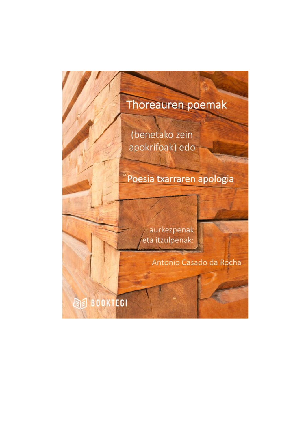## Thoreauren poemak

(benetako zein apokrifoak) edo

## Poesia txarraren apologia

aurkezpenak eta itzulpenak:

Antonio Casado da Rocha

**BEE** BOOKTEGI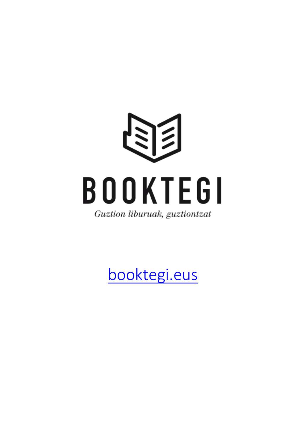

[booktegi.eus](http://www.booktegi.eus/)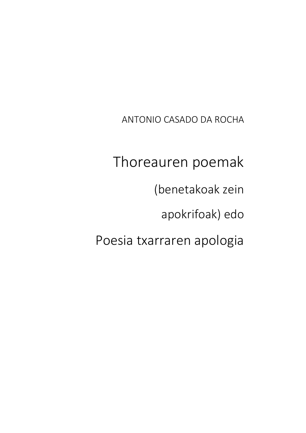ANTONIO CASADO DA ROCHA

Thoreauren poemak (benetakoak zein apokrifoak) edo Poesia txarraren apologia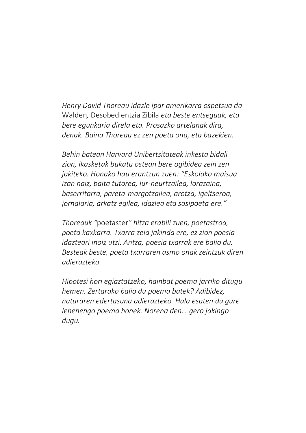*Henry David Thoreau idazle ipar amerikarra ospetsua da*  Walden*,* Desobedientzia Zibila *eta beste entseguak, eta bere egunkaria direla eta. Prosazko artelanak dira, denak. Baina Thoreau ez zen poeta ona, eta bazekien.* 

*Behin batean Harvard Unibertsitateak inkesta bidali zion, ikasketak bukatu ostean bere ogibidea zein zen jakiteko. Honako hau erantzun zuen: "Eskolako maisua izan naiz, baita tutorea, lur-neurtzailea, lorazaina, baserritarra, pareta-margotzailea, arotza, igeltseroa, jornalaria, arkatz egilea, idazlea eta sasipoeta ere."*

*Thoreauk "*poetaster*" hitza erabili zuen, poetastroa, poeta kaxkarra. Txarra zela jakinda ere, ez zion poesia idazteari inoiz utzi. Antza, poesia txarrak ere balio du. Besteak beste, poeta txarraren asmo onak zeintzuk diren adierazteko.*

*Hipotesi hori egiaztatzeko, hainbat poema jarriko ditugu hemen. Zertarako balio du poema batek? Adibidez, naturaren edertasuna adierazteko. Hala esaten du gure lehenengo poema honek. Norena den… gero jakingo dugu.*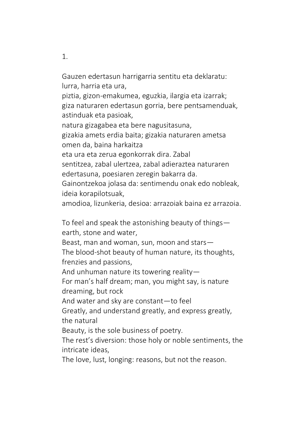Gauzen edertasun harrigarria sentitu eta deklaratu: lurra, harria eta ura, piztia, gizon-emakumea, eguzkia, ilargia eta izarrak; giza naturaren edertasun gorria, bere pentsamenduak, astinduak eta pasioak, natura gizagabea eta bere nagusitasuna, gizakia amets erdia baita; gizakia naturaren ametsa omen da, baina harkaitza eta ura eta zerua egonkorrak dira. Zabal sentitzea, zabal ulertzea, zabal adieraztea naturaren edertasuna, poesiaren zeregin bakarra da. Gainontzekoa jolasa da: sentimendu onak edo nobleak, ideia korapilotsuak, amodioa, lizunkeria, desioa: arrazoiak baina ez arrazoia.

To feel and speak the astonishing beauty of things earth, stone and water, Beast, man and woman, sun, moon and stars— The blood-shot beauty of human nature, its thoughts, frenzies and passions, And unhuman nature its towering reality— For man's half dream; man, you might say, is nature dreaming, but rock And water and sky are constant—to feel Greatly, and understand greatly, and express greatly, the natural Beauty, is the sole business of poetry. The rest's diversion: those holy or noble sentiments, the intricate ideas, The love, lust, longing: reasons, but not the reason.

1.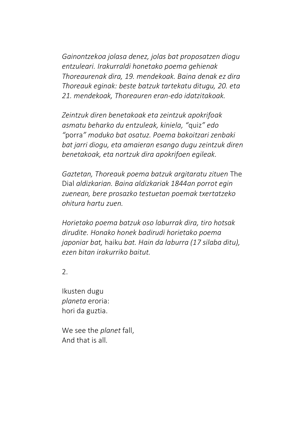*Gainontzekoa jolasa denez, jolas bat proposatzen diogu entzuleari. Irakurraldi honetako poema gehienak Thoreaurenak dira, 19. mendekoak. Baina denak ez dira Thoreauk eginak: beste batzuk tartekatu ditugu, 20. eta 21. mendekoak, Thoreauren eran-edo idatzitakoak.* 

*Zeintzuk diren benetakoak eta zeintzuk apokrifoak asmatu beharko du entzuleak, kiniela, "*quiz*" edo "*porra*" moduko bat osatuz. Poema bakoitzari zenbaki bat jarri diogu, eta amaieran esango dugu zeintzuk diren benetakoak, eta nortzuk dira apokrifoen egileak.*

*Gaztetan, Thoreauk poema batzuk argitaratu zituen* The Dial *aldizkarian. Baina aldizkariak 1844an porrot egin zuenean, bere prosazko testuetan poemak txertatzeko ohitura hartu zuen.* 

*Horietako poema batzuk oso laburrak dira, tiro hotsak dirudite. Honako honek badirudi horietako poema japoniar bat,* haiku *bat. Hain da laburra (17 silaba ditu), ezen bitan irakurriko baitut.*

2.

Ikusten dugu *planeta* eroria: hori da guztia.

We see the *planet* fall, And that is all.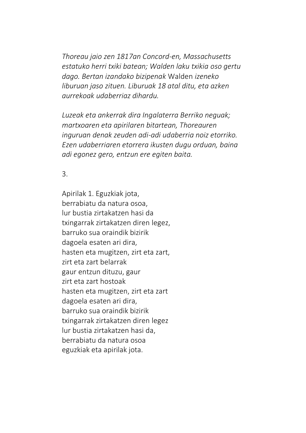*Thoreau jaio zen 1817an Concord-en, Massachusetts estatuko herri txiki batean; Walden laku txikia oso gertu dago. Bertan izandako bizipenak* Walden *izeneko liburuan jaso zituen. Liburuak 18 atal ditu, eta azken aurrekoak udaberriaz dihardu.* 

*Luzeak eta ankerrak dira Ingalaterra Berriko neguak; martxoaren eta apirilaren bitartean, Thoreauren inguruan denak zeuden adi-adi udaberria noiz etorriko. Ezen udaberriaren etorrera ikusten dugu orduan, baina adi egonez gero, entzun ere egiten baita.*

## 3.

Apirilak 1. Eguzkiak jota, berrabiatu da natura osoa, lur bustia zirtakatzen hasi da txingarrak zirtakatzen diren legez, barruko sua oraindik bizirik dagoela esaten ari dira, hasten eta mugitzen, zirt eta zart, zirt eta zart belarrak gaur entzun dituzu, gaur zirt eta zart hostoak hasten eta mugitzen, zirt eta zart dagoela esaten ari dira, barruko sua oraindik bizirik txingarrak zirtakatzen diren legez lur bustia zirtakatzen hasi da, berrabiatu da natura osoa eguzkiak eta apirilak jota.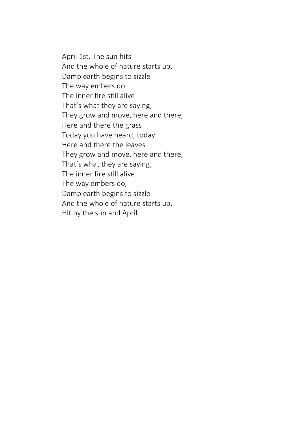April 1st. The sun hits And the whole of nature starts up, Damp earth begins to sizzle The way embers do The inner fire still alive That's what they are saying, They grow and move, here and there, Here and there the grass Today you have heard, today Here and there the leaves They grow and move, here and there, That's what they are saying, The inner fire still alive The way embers do, Damp earth begins to sizzle And the whole of nature starts up, Hit by the sun and April.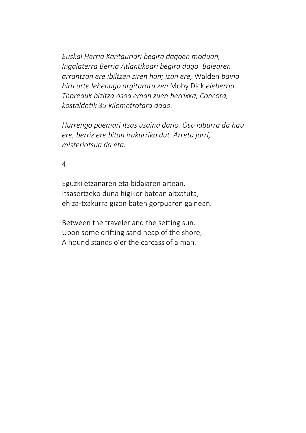*Euskal Herria Kantauriari begira dagoen moduan, Ingalaterra Berria Atlantikoari begira dago. Balearen arrantzan ere ibiltzen ziren han; izan ere,* Walden *baino hiru urte lehenago argitaratu zen* Moby Dick *eleberria. Thoreauk bizitza osoa eman zuen herrixka, Concord, kostaldetik 35 kilometrotara dago.*

*Hurrengo poemari itsas usaina dario. Oso laburra da hau ere, berriz ere bitan irakurriko dut. Arreta jarri, misteriotsua da eta.*

4.

Eguzki etzanaren eta bidaiaren artean. Itsasertzeko duna higikor batean altxatuta, ehiza-txakurra gizon baten gorpuaren gainean.

Between the traveler and the setting sun. Upon some drifting sand heap of the shore, A hound stands o'er the carcass of a man.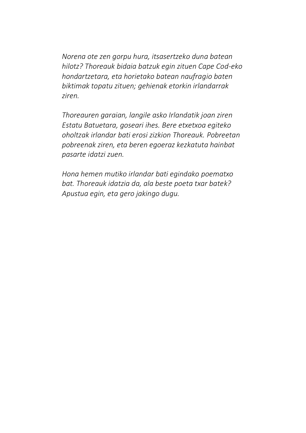*Norena ote zen gorpu hura, itsasertzeko duna batean hilotz? Thoreauk bidaia batzuk egin zituen Cape Cod-eko hondartzetara, eta horietako batean naufragio baten biktimak topatu zituen; gehienak etorkin irlandarrak ziren.* 

*Thoreauren garaian, langile asko Irlandatik joan ziren Estatu Batuetara, goseari ihes. Bere etxetxoa egiteko oholtzak irlandar bati erosi zizkion Thoreauk. Pobreetan pobreenak ziren, eta beren egoeraz kezkatuta hainbat pasarte idatzi zuen.*

*Hona hemen mutiko irlandar bati egindako poematxo bat. Thoreauk idatzia da, ala beste poeta txar batek? Apustua egin, eta gero jakingo dugu.*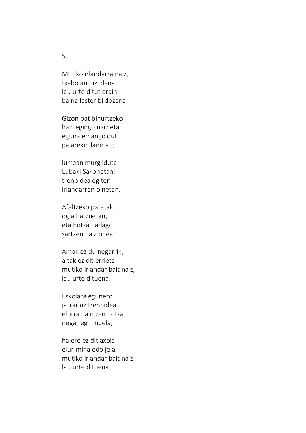Mutiko irlandarra naiz, txabolan bizi dena; lau urte ditut orain baina laster bi dozena.

Gizon bat bihurtzeko hazi egingo naiz eta eguna emango dut palarekin lanetan;

lurrean murgilduta Lubaki Sakonetan, trenbidea egiten irlandarren oinetan.

Afaltzeko patatak, ogia batzuetan, eta hotza badago sartzen naiz ohean.

Amak ez du negarrik, aitak ez dit errieta: mutiko irlandar bait naiz, lau urte dituena.

Eskolara egunero jarraituz trenbidea, elurra hain zen hotza negar egin nuela;

halere ez dit axola elur-mina edo jela: mutiko irlandar bait naiz lau urte dituena.

5.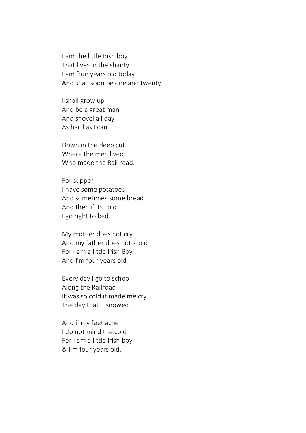I am the little Irish boy That lives in the shanty I am four years old today And shall soon be one and twenty

I shall grow up And be a great man And shovel all day As hard as I can.

Down in the deep cut Where the men lived Who made the Rail road.

For supper I have some potatoes And sometimes some bread And then if its cold I go right to bed.

My mother does not cry And my father does not scold For I am a little Irish Boy And I'm four years old.

Every day I go to school Along the Railroad It was so cold it made me cry The day that it snowed.

And if my feet ache I do not mind the cold For I am a little Irish boy & I'm four years old.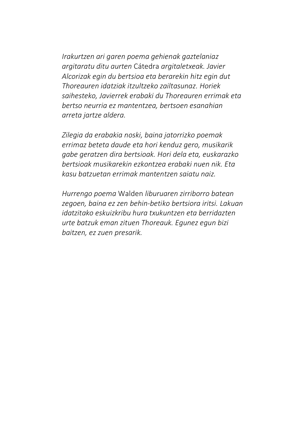*Irakurtzen ari garen poema gehienak gaztelaniaz argitaratu ditu aurten* Cátedra *argitaletxeak. Javier Alcorizak egin du bertsioa eta berarekin hitz egin dut Thoreauren idatziak itzultzeko zailtasunaz. Horiek saihesteko, Javierrek erabaki du Thoreauren errimak eta bertso neurria ez mantentzea, bertsoen esanahian arreta jartze aldera.* 

*Zilegia da erabakia noski, baina jatorrizko poemak errimaz beteta daude eta hori kenduz gero, musikarik gabe geratzen dira bertsioak. Hori dela eta, euskarazko bertsioak musikarekin ezkontzea erabaki nuen nik. Eta kasu batzuetan errimak mantentzen saiatu naiz.*

*Hurrengo poema* Walden *liburuaren zirriborro batean zegoen, baina ez zen behin-betiko bertsiora iritsi. Lakuan idatzitako eskuizkribu hura txukuntzen eta berridazten urte batzuk eman zituen Thoreauk. Egunez egun bizi baitzen, ez zuen presarik.*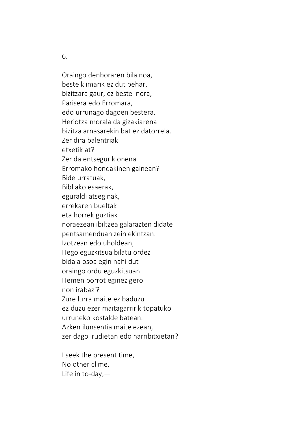6.

Oraingo denboraren bila noa, beste klimarik ez dut behar, bizitzara gaur, ez beste inora, Parisera edo Erromara, edo urrunago dagoen bestera. Heriotza morala da gizakiarena bizitza arnasarekin bat ez datorrela. Zer dira balentriak etxetik at? Zer da entsegurik onena Erromako hondakinen gainean? Bide urratuak, Bibliako esaerak, eguraldi atseginak, errekaren bueltak eta horrek guztiak noraezean ibiltzea galarazten didate pentsamenduan zein ekintzan. Izotzean edo uholdean, Hego eguzkitsua bilatu ordez bidaia osoa egin nahi dut oraingo ordu eguzkitsuan. Hemen porrot eginez gero non irabazi? Zure lurra maite ez baduzu ez duzu ezer maitagarririk topatuko urruneko kostalde batean. Azken ilunsentia maite ezean, zer dago irudietan edo harribitxietan?

I seek the present time, No other clime, Life in to-day,—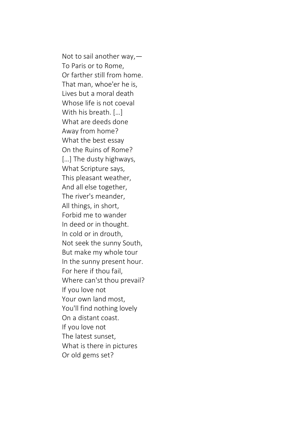Not to sail another way,— To Paris or to Rome, Or farther still from home. That man, whoe'er he is, Lives but a moral death Whose life is not coeval With his breath. […] What are deeds done Away from home? What the best essay On the Ruins of Rome? [...] The dusty highways, What Scripture says, This pleasant weather, And all else together, The river's meander, All things, in short, Forbid me to wander In deed or in thought. In cold or in drouth, Not seek the sunny South, But make my whole tour In the sunny present hour. For here if thou fail, Where can'st thou prevail? If you love not Your own land most, You'll find nothing lovely On a distant coast. If you love not The latest sunset, What is there in pictures Or old gems set?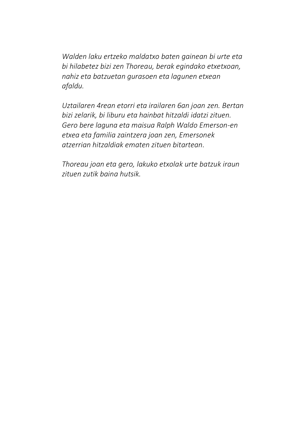*Walden laku ertzeko maldatxo baten gainean bi urte eta bi hilabetez bizi zen Thoreau, berak egindako etxetxoan, nahiz eta batzuetan gurasoen eta lagunen etxean afaldu.* 

*Uztailaren 4rean etorri eta irailaren 6an joan zen. Bertan bizi zelarik, bi liburu eta hainbat hitzaldi idatzi zituen. Gero bere laguna eta maisua Ralph Waldo Emerson-en etxea eta familia zaintzera joan zen, Emersonek atzerrian hitzaldiak ematen zituen bitartean.*

*Thoreau joan eta gero, lakuko etxolak urte batzuk iraun zituen zutik baina hutsik.*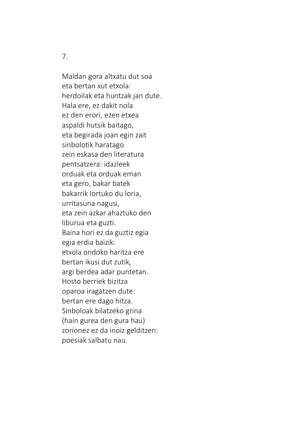7.

Maldan gora altxatu dut soa eta bertan xut etxola: herdoilak eta huntzak jan dute. Hala ere, ez dakit nola ez den erori, ezen etxea aspaldi hutsik baitago, eta begirada joan egin zait sinbolotik haratago zein eskasa den literatura pentsatzera: idazleek orduak eta orduak eman eta gero, bakar batek bakarrik lortuko du loria, urritasuna nagusi, eta zein azkar ahaztuko den liburua eta guzti. Baina hori ez da guztiz egia egia erdia baizik: etxola ondoko haritza ere bertan ikusi dut zutik, argi berdea adar puntetan. Hosto berriek bizitza oparoa iragatzen dute: bertan ere dago hitza. Sinboloak bilatzeko grina (hain gurea den gura hau) zorionez ez da inoiz gelditzen: poesiak salbatu nau.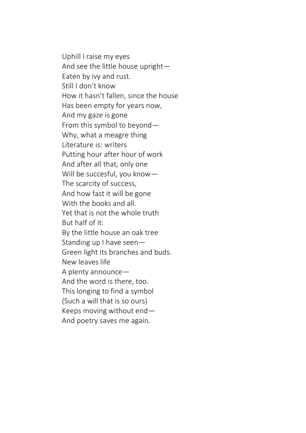Uphill I raise my eyes And see the little house upright— Eaten by ivy and rust. Still I don't know How it hasn't fallen, since the house Has been empty for years now, And my gaze is gone From this symbol to beyond— Why, what a meagre thing Literature is: writers Putting hour after hour of work And after all that, only one Will be succesful, you know— The scarcity of success, And how fast it will be gone With the books and all. Yet that is not the whole truth But half of it: By the little house an oak tree Standing up I have seen— Green light its branches and buds. New leaves life A plenty announce— And the word is there, too. This longing to find a symbol (Such a will that is so ours) Keeps moving without end— And poetry saves me again.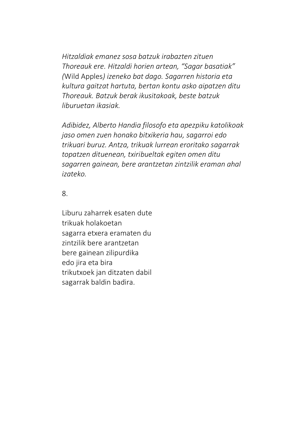*Hitzaldiak emanez sosa batzuk irabazten zituen Thoreauk ere. Hitzaldi horien artean, "Sagar basatiak" (*Wild Apples*) izeneko bat dago. Sagarren historia eta kultura gaitzat hartuta, bertan kontu asko aipatzen ditu Thoreauk. Batzuk berak ikusitakoak, beste batzuk liburuetan ikasiak.* 

*Adibidez, Alberto Handia filosofo eta apezpiku katolikoak jaso omen zuen honako bitxikeria hau, sagarroi edo trikuari buruz. Antza, trikuak lurrean eroritako sagarrak topatzen dituenean, txiribueltak egiten omen ditu sagarren gainean, bere arantzetan zintzilik eraman ahal izateko.* 

8.

Liburu zaharrek esaten dute trikuak holakoetan sagarra etxera eramaten du zintzilik bere arantzetan bere gainean zilipurdika edo jira eta bira trikutxoek jan ditzaten dabil sagarrak baldin badira.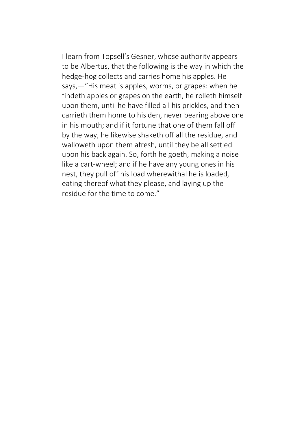I learn from Topsell's Gesner, whose authority appears to be Albertus, that the following is the way in which the hedge-hog collects and carries home his apples. He says,—"His meat is apples, worms, or grapes: when he findeth apples or grapes on the earth, he rolleth himself upon them, until he have filled all his prickles, and then carrieth them home to his den, never bearing above one in his mouth; and if it fortune that one of them fall off by the way, he likewise shaketh off all the residue, and walloweth upon them afresh, until they be all settled upon his back again. So, forth he goeth, making a noise like a cart-wheel; and if he have any young ones in his nest, they pull off his load wherewithal he is loaded, eating thereof what they please, and laying up the residue for the time to come."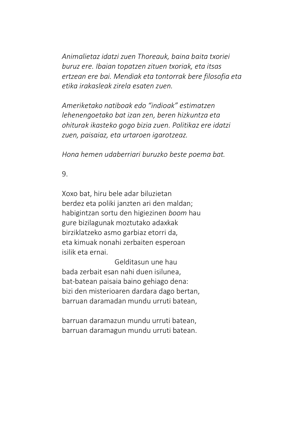*Animalietaz idatzi zuen Thoreauk, baina baita txoriei buruz ere. Ibaian topatzen zituen txoriak, eta itsas ertzean ere bai. Mendiak eta tontorrak bere filosofia eta etika irakasleak zirela esaten zuen.*

*Ameriketako natiboak edo "indioak" estimatzen lehenengoetako bat izan zen, beren hizkuntza eta ohiturak ikasteko gogo bizia zuen. Politikaz ere idatzi zuen, paisaiaz, eta urtaroen igarotzeaz.* 

*Hona hemen udaberriari buruzko beste poema bat.*

9.

Xoxo bat, hiru bele adar biluzietan berdez eta poliki janzten ari den maldan; habigintzan sortu den higiezinen *boom* hau gure bizilagunak moztutako adaxkak birziklatzeko asmo garbiaz etorri da, eta kimuak nonahi zerbaiten esperoan isilik eta ernai.

 Gelditasun une hau bada zerbait esan nahi duen isilunea, bat-batean paisaia baino gehiago dena: bizi den misterioaren dardara dago bertan, barruan daramadan mundu urruti batean,

barruan daramazun mundu urruti batean, barruan daramagun mundu urruti batean.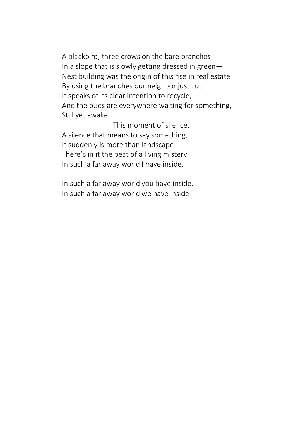A blackbird, three crows on the bare branches In a slope that is slowly getting dressed in green— Nest building was the origin of this rise in real estate By using the branches our neighbor just cut It speaks of its clear intention to recycle, And the buds are everywhere waiting for something, Still yet awake.

 This moment of silence, A silence that means to say something, It suddenly is more than landscape— There's in it the beat of a living mistery In such a far away world I have inside,

In such a far away world you have inside, In such a far away world we have inside.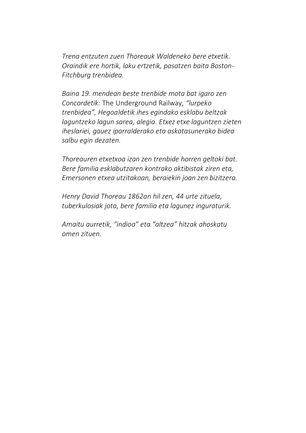*Trena entzuten zuen Thoreauk Waldeneko bere etxetik. Oraindik ere hortik, laku ertzetik, pasatzen baita Boston-Fitchburg trenbidea.*

*Baina 19. mendean beste trenbide mota bat igaro zen Concordetik:* The Underground Railway*, "lurpeko trenbidea", Hegoaldetik ihes egindako esklabu beltzak laguntzeko lagun sarea, alegia. Etxez etxe laguntzen zieten iheslariei, gauez iparralderako eta askatasunerako bidea salbu egin dezaten.*

*Thoreauren etxetxoa izan zen trenbide horren geltoki bat. Bere familia esklabutzaren kontrako aktibistak ziren eta, Emersonen etxea utzitakoan, beraiekin joan zen bizitzera.*

*Henry David Thoreau 1862an hil zen, 44 urte zituela, tuberkulosiak jota, bere familia eta lagunez inguraturik.*

*Amaitu aurretik, "indioa" eta "altzea" hitzak ahoskatu omen zituen.*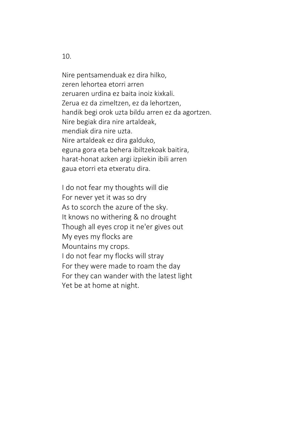10.

Nire pentsamenduak ez dira hilko, zeren lehortea etorri arren zeruaren urdina ez baita inoiz kixkali. Zerua ez da zimeltzen, ez da lehortzen, handik begi orok uzta bildu arren ez da agortzen. Nire begiak dira nire artaldeak, mendiak dira nire uzta. Nire artaldeak ez dira galduko, eguna gora eta behera ibiltzekoak baitira, harat-honat azken argi izpiekin ibili arren gaua etorri eta etxeratu dira.

I do not fear my thoughts will die For never yet it was so dry As to scorch the azure of the sky. It knows no withering & no drought Though all eyes crop it ne'er gives out My eyes my flocks are Mountains my crops. I do not fear my flocks will stray For they were made to roam the day For they can wander with the latest light Yet be at home at night.